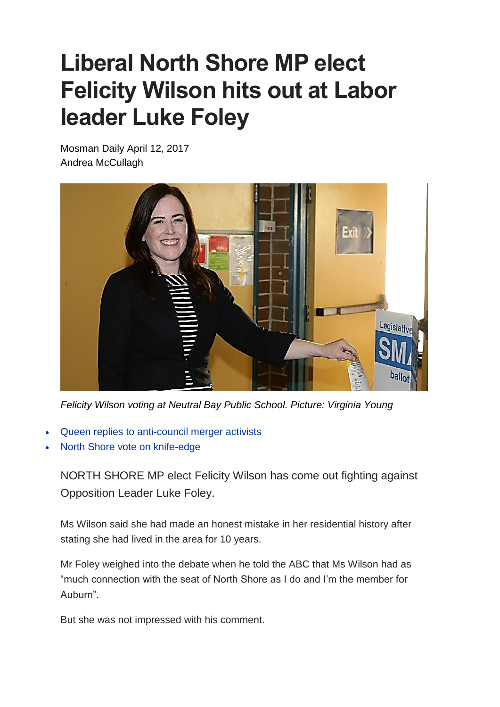## **Liberal North Shore MP elect Felicity Wilson hits out at Labor leader Luke Foley**

Mosman Daily April 12, 2017 Andrea McCullagh



*Felicity Wilson voting at Neutral Bay Public School. Picture: Virginia Young*

- Queen replies to [anti-council](http://www.dailytelegraph.com.au/newslocal/mosman-daily/anticouncil-amalgamations-activists-pleased-with-reply-from-buckingham-palace-although-her-majesty-cannot-intervene/news-story/aa960b7ec68cbfbd5a3c2ee4472765a7) merger activists
- North Shore vote on [knife-edge](http://www.dailytelegraph.com.au/newslocal/mosman-daily/north-shore-byelection-too-close-to-call-as-liberal-party-experiences-backlash/news-story/c82cd67dd4dd8d7dfb5c11a14cf243b0)

NORTH SHORE MP elect Felicity Wilson has come out fighting against Opposition Leader Luke Foley.

Ms Wilson said she had made an honest mistake in her residential history after stating she had lived in the area for 10 years.

Mr Foley weighed into the debate when he told the ABC that Ms Wilson had as "much connection with the seat of North Shore as I do and I'm the member for Auburn".

But she was not impressed with his comment.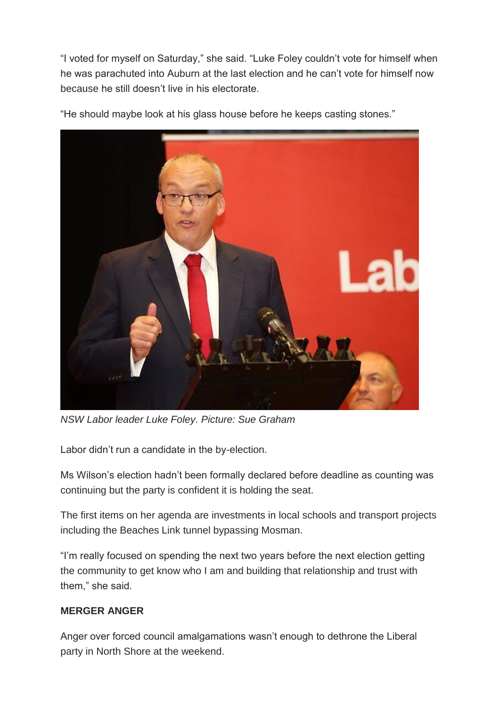"I voted for myself on Saturday," she said. "Luke Foley couldn't vote for himself when he was parachuted into Auburn at the last election and he can't vote for himself now because he still doesn't live in his electorate.



"He should maybe look at his glass house before he keeps casting stones."

*NSW Labor leader Luke Foley. Picture: Sue Graham*

Labor didn't run a candidate in the by-election.

Ms Wilson's election hadn't been formally declared before deadline as counting was continuing but the party is confident it is holding the seat.

The first items on her agenda are investments in local schools and transport projects including the Beaches Link tunnel bypassing Mosman.

"I'm really focused on spending the next two years before the next election getting the community to get know who I am and building that relationship and trust with them," she said.

## **MERGER ANGER**

Anger over forced council amalgamations wasn't enough to dethrone the Liberal party in North Shore at the weekend.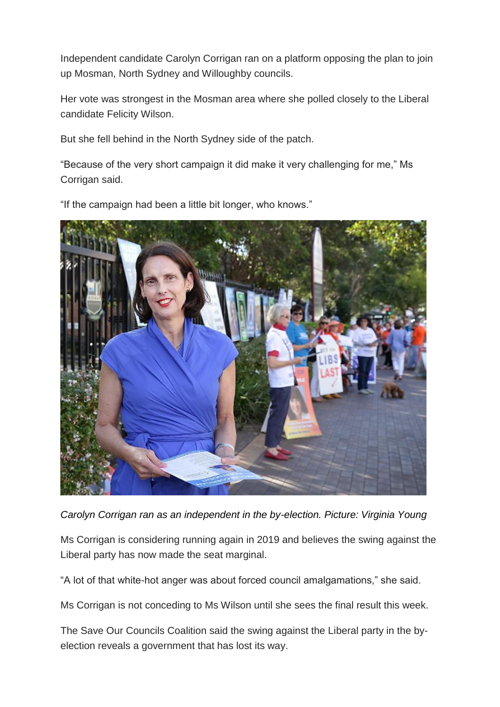Independent candidate Carolyn Corrigan ran on a platform opposing the plan to join up Mosman, North Sydney and Willoughby councils.

Her vote was strongest in the Mosman area where she polled closely to the Liberal candidate Felicity Wilson.

But she fell behind in the North Sydney side of the patch.

"Because of the very short campaign it did make it very challenging for me," Ms Corrigan said.

"If the campaign had been a little bit longer, who knows."



*Carolyn Corrigan ran as an independent in the by-election. Picture: Virginia Young*

Ms Corrigan is considering running again in 2019 and believes the swing against the Liberal party has now made the seat marginal.

"A lot of that white-hot anger was about forced council amalgamations," she said.

Ms Corrigan is not conceding to Ms Wilson until she sees the final result this week.

The Save Our Councils Coalition said the swing against the Liberal party in the byelection reveals a government that has lost its way.